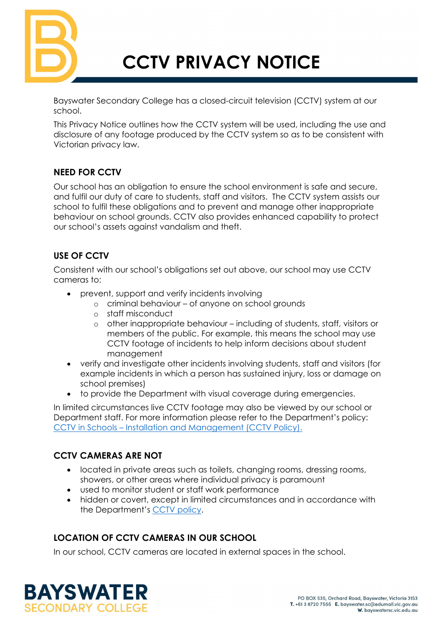

# **CCTV PRIVACY NOTICE**

Bayswater Secondary College has a closed-circuit television (CCTV) system at our school.

This Privacy Notice outlines how the CCTV system will be used, including the use and disclosure of any footage produced by the CCTV system so as to be consistent with Victorian privacy law.

### **NEED FOR CCTV**

Our school has an obligation to ensure the school environment is safe and secure, and fulfil our duty of care to students, staff and visitors. The CCTV system assists our school to fulfil these obligations and to prevent and manage other inappropriate behaviour on school grounds. CCTV also provides enhanced capability to protect our school's assets against vandalism and theft.

### **USE OF CCTV**

Consistent with our school's obligations set out above, our school may use CCTV cameras to:

- prevent, support and verify incidents involving
	- o criminal behaviour of anyone on school grounds
	- o staff misconduct
	- o other inappropriate behaviour including of students, staff, visitors or members of the public. For example, this means the school may use CCTV footage of incidents to help inform decisions about student management
- verify and investigate other incidents involving students, staff and visitors (for example incidents in which a person has sustained injury, loss or damage on school premises)
- to provide the Department with visual coverage during emergencies.

In limited circumstances live CCTV footage may also be viewed by our school or Department staff. For more information please refer to the Department's policy: CCTV in Schools – [Installation and Management](https://www2.education.vic.gov.au/pal/cctv-in-schools/policy) (CCTV Policy).

## **CCTV CAMERAS ARE NOT**

- located in private areas such as toilets, changing rooms, dressing rooms, showers, or other areas where individual privacy is paramount
- used to monitor student or staff work performance
- hidden or covert, except in limited circumstances and in accordance with the Department's [CCTV policy.](https://www2.education.vic.gov.au/pal/cctv-in-schools/policy)

#### **LOCATION OF CCTV CAMERAS IN OUR SCHOOL**

In our school, CCTV cameras are located in external spaces in the school.